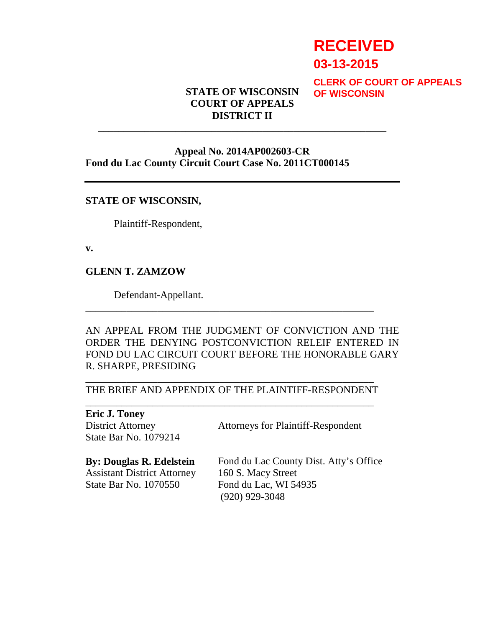# **RECEIVED**

**03-13-2015**

**CLERK OF COURT OF APPEALS OF WISCONSIN**

#### **STATE OF WISCONSIN COURT OF APPEALS DISTRICT II**

**\_\_\_\_\_\_\_\_\_\_\_\_\_\_\_\_\_\_\_\_\_\_\_\_\_\_\_\_\_\_\_\_\_\_\_\_\_\_\_\_\_\_\_\_\_\_\_\_\_\_\_\_\_\_\_\_** 

#### **Appeal No. 2014AP002603-CR Fond du Lac County Circuit Court Case No. 2011CT000145**

#### **STATE OF WISCONSIN,**

Plaintiff-Respondent,

**v.** 

#### **GLENN T. ZAMZOW**

Defendant-Appellant.

AN APPEAL FROM THE JUDGMENT OF CONVICTION AND THE ORDER THE DENYING POSTCONVICTION RELEIF ENTERED IN FOND DU LAC CIRCUIT COURT BEFORE THE HONORABLE GARY R. SHARPE, PRESIDING

#### \_\_\_\_\_\_\_\_\_\_\_\_\_\_\_\_\_\_\_\_\_\_\_\_\_\_\_\_\_\_\_\_\_\_\_\_\_\_\_\_\_\_\_\_\_\_\_\_\_\_\_\_\_\_\_\_ THE BRIEF AND APPENDIX OF THE PLAINTIFF-RESPONDENT \_\_\_\_\_\_\_\_\_\_\_\_\_\_\_\_\_\_\_\_\_\_\_\_\_\_\_\_\_\_\_\_\_\_\_\_\_\_\_\_\_\_\_\_\_\_\_\_\_\_\_\_\_\_\_\_

\_\_\_\_\_\_\_\_\_\_\_\_\_\_\_\_\_\_\_\_\_\_\_\_\_\_\_\_\_\_\_\_\_\_\_\_\_\_\_\_\_\_\_\_\_\_\_\_\_\_\_\_\_\_\_\_

**Eric J. Toney**  District Attorney State Bar No. 1079214

Attorneys for Plaintiff-Respondent

**By: Douglas R. Edelstein**  Assistant District Attorney State Bar No. 1070550

Fond du Lac County Dist. Atty's Office 160 S. Macy Street Fond du Lac, WI 54935 (920) 929-3048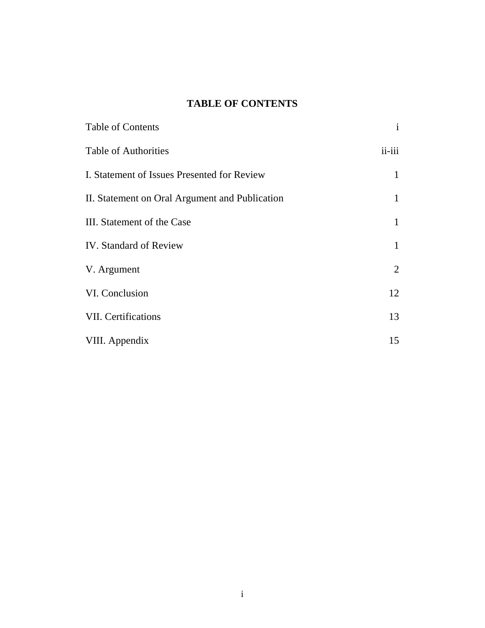### **TABLE OF CONTENTS**

| Table of Contents                              | $\mathbf{i}$   |
|------------------------------------------------|----------------|
| <b>Table of Authorities</b>                    | $ii$ - $iii$   |
| I. Statement of Issues Presented for Review    | 1              |
| II. Statement on Oral Argument and Publication | 1              |
| III. Statement of the Case                     | 1              |
| <b>IV.</b> Standard of Review                  | 1              |
| V. Argument                                    | $\overline{2}$ |
| VI. Conclusion                                 | 12             |
| <b>VII.</b> Certifications                     | 13             |
| VIII. Appendix                                 | 15             |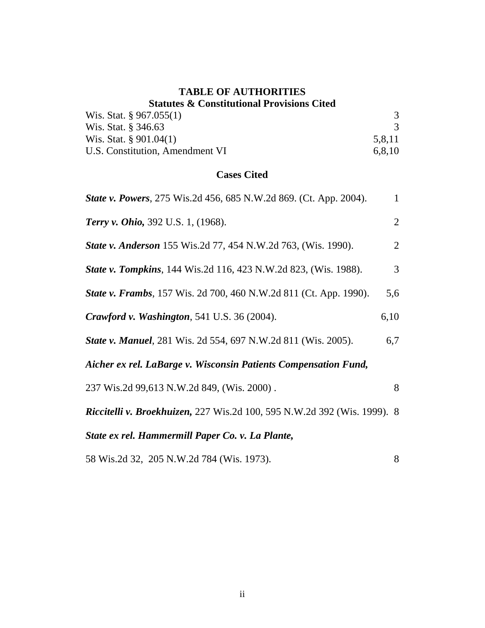#### **TABLE OF AUTHORITIES Statutes & Constitutional Provisions Cited**

| Duuuto & Computuutumi TTO Nolomb Chuu |        |  |
|---------------------------------------|--------|--|
| Wis. Stat. $\S 967.055(1)$            |        |  |
| Wis. Stat. § 346.63                   |        |  |
| Wis. Stat. $\S 901.04(1)$             | 5.8.11 |  |
| U.S. Constitution, Amendment VI       | 6.8.10 |  |

#### **Cases Cited**

| <b>State v. Powers</b> , 275 Wis.2d 456, 685 N.W.2d 869. (Ct. App. 2004).       |                |  |
|---------------------------------------------------------------------------------|----------------|--|
| <b>Terry v. Ohio, 392 U.S. 1, (1968).</b>                                       | $\overline{2}$ |  |
| <b>State v. Anderson</b> 155 Wis.2d 77, 454 N.W.2d 763, (Wis. 1990).            | $\overline{2}$ |  |
| <b>State v. Tompkins</b> , 144 Wis.2d 116, 423 N.W.2d 823, (Wis. 1988).         | 3              |  |
| <b>State v. Frambs</b> , 157 Wis. 2d 700, 460 N.W.2d 811 (Ct. App. 1990).       | 5,6            |  |
| Crawford v. Washington, 541 U.S. 36 (2004).                                     | 6,10           |  |
| <b>State v. Manuel, 281 Wis. 2d 554, 697 N.W.2d 811 (Wis. 2005).</b>            | 6,7            |  |
| Aicher ex rel. LaBarge v. Wisconsin Patients Compensation Fund,                 |                |  |
| 237 Wis.2d 99,613 N.W.2d 849, (Wis. 2000).                                      | 8              |  |
| <b>Riccitelli v. Broekhuizen, 227 Wis.2d 100, 595 N.W.2d 392 (Wis. 1999). 8</b> |                |  |
| State ex rel. Hammermill Paper Co. v. La Plante,                                |                |  |
| 58 Wis.2d 32, 205 N.W.2d 784 (Wis. 1973).                                       | 8              |  |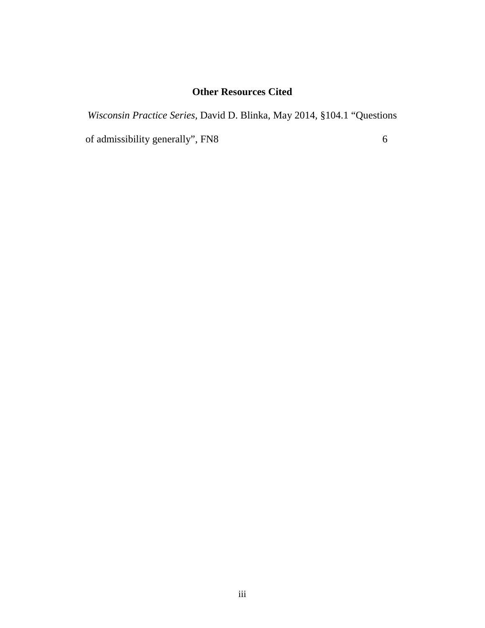### **Other Resources Cited**

*Wisconsin Practice Series,* David D. Blinka, May 2014*,* §104.1 "Questions of admissibility generally", FN8 6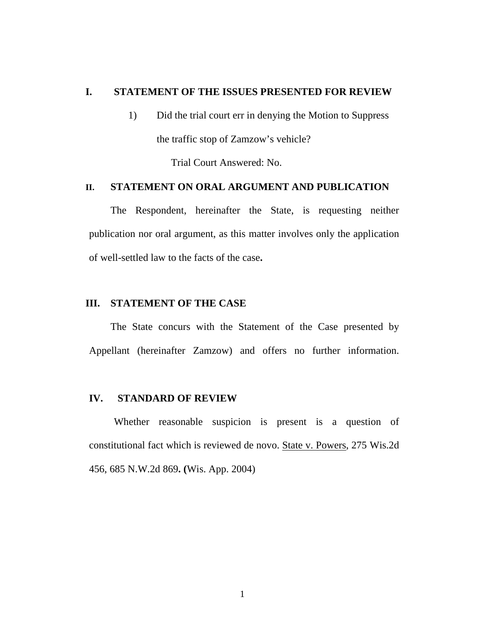#### **I. STATEMENT OF THE ISSUES PRESENTED FOR REVIEW**

1) Did the trial court err in denying the Motion to Suppress the traffic stop of Zamzow's vehicle?

Trial Court Answered: No.

#### **II. STATEMENT ON ORAL ARGUMENT AND PUBLICATION**

The Respondent, hereinafter the State, is requesting neither publication nor oral argument, as this matter involves only the application of well-settled law to the facts of the case**.** 

#### **III. STATEMENT OF THE CASE**

The State concurs with the Statement of the Case presented by Appellant (hereinafter Zamzow) and offers no further information.

#### **IV. STANDARD OF REVIEW**

Whether reasonable suspicion is present is a question of constitutional fact which is reviewed de novo. State v. Powers, 275 Wis.2d 456, 685 N.W.2d 869**. (**Wis. App. 2004)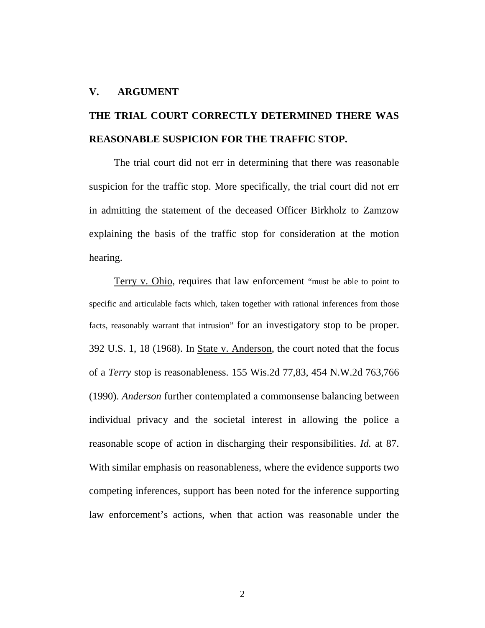#### **V. ARGUMENT**

## **THE TRIAL COURT CORRECTLY DETERMINED THERE WAS REASONABLE SUSPICION FOR THE TRAFFIC STOP.**

The trial court did not err in determining that there was reasonable suspicion for the traffic stop. More specifically, the trial court did not err in admitting the statement of the deceased Officer Birkholz to Zamzow explaining the basis of the traffic stop for consideration at the motion hearing.

Terry v. Ohio, requires that law enforcement "must be able to point to specific and articulable facts which, taken together with rational inferences from those facts, reasonably warrant that intrusion" for an investigatory stop to be proper. 392 U.S. 1, 18 (1968). In State v. Anderson, the court noted that the focus of a *Terry* stop is reasonableness. 155 Wis.2d 77,83, 454 N.W.2d 763,766 (1990). *Anderson* further contemplated a commonsense balancing between individual privacy and the societal interest in allowing the police a reasonable scope of action in discharging their responsibilities. *Id.* at 87. With similar emphasis on reasonableness, where the evidence supports two competing inferences, support has been noted for the inference supporting law enforcement's actions, when that action was reasonable under the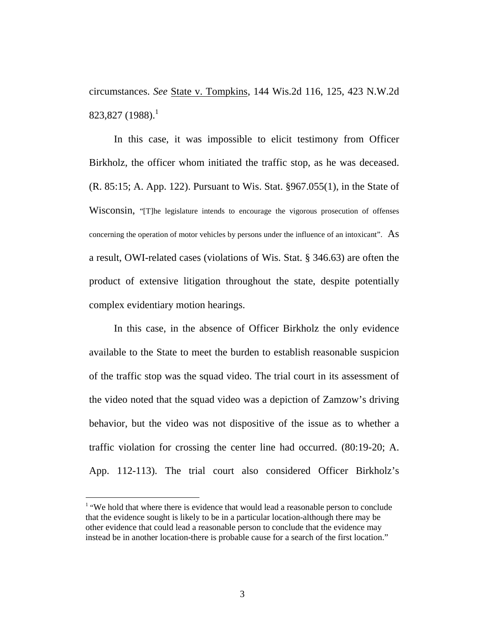circumstances. *See* State v. Tompkins, 144 Wis.2d 116, 125, 423 N.W.2d  $823,827$  (1988).<sup>1</sup>

In this case, it was impossible to elicit testimony from Officer Birkholz, the officer whom initiated the traffic stop, as he was deceased. (R. 85:15; A. App. 122). Pursuant to Wis. Stat. §967.055(1), in the State of Wisconsin, "[T]he legislature intends to encourage the vigorous prosecution of offenses concerning the operation of motor vehicles by persons under the influence of an intoxicant". As a result, OWI-related cases (violations of Wis. Stat. § 346.63) are often the product of extensive litigation throughout the state, despite potentially complex evidentiary motion hearings.

In this case, in the absence of Officer Birkholz the only evidence available to the State to meet the burden to establish reasonable suspicion of the traffic stop was the squad video. The trial court in its assessment of the video noted that the squad video was a depiction of Zamzow's driving behavior, but the video was not dispositive of the issue as to whether a traffic violation for crossing the center line had occurred. (80:19-20; A. App. 112-113). The trial court also considered Officer Birkholz's

-

<sup>&</sup>lt;sup>1</sup> "We hold that where there is evidence that would lead a reasonable person to conclude that the evidence sought is likely to be in a particular location-although there may be other evidence that could lead a reasonable person to conclude that the evidence may instead be in another location-there is probable cause for a search of the first location."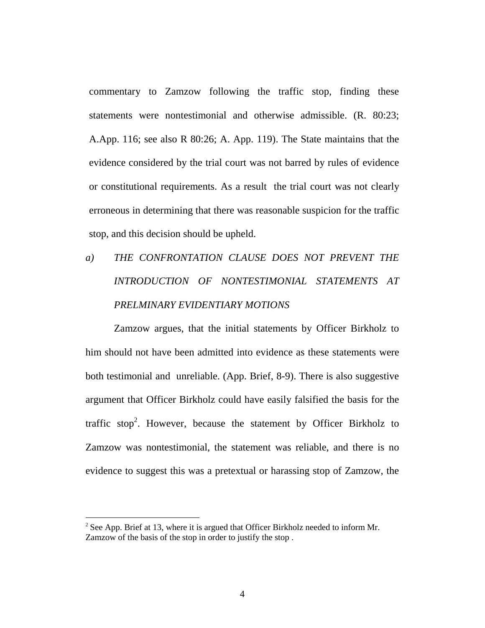commentary to Zamzow following the traffic stop, finding these statements were nontestimonial and otherwise admissible. (R. 80:23; A.App. 116; see also R 80:26; A. App. 119). The State maintains that the evidence considered by the trial court was not barred by rules of evidence or constitutional requirements. As a result the trial court was not clearly erroneous in determining that there was reasonable suspicion for the traffic stop, and this decision should be upheld.

# *a) THE CONFRONTATION CLAUSE DOES NOT PREVENT THE INTRODUCTION OF NONTESTIMONIAL STATEMENTS AT PRELMINARY EVIDENTIARY MOTIONS*

Zamzow argues, that the initial statements by Officer Birkholz to him should not have been admitted into evidence as these statements were both testimonial and unreliable. (App. Brief, 8-9). There is also suggestive argument that Officer Birkholz could have easily falsified the basis for the traffic stop<sup>2</sup>. However, because the statement by Officer Birkholz to Zamzow was nontestimonial, the statement was reliable, and there is no evidence to suggest this was a pretextual or harassing stop of Zamzow, the

<sup>&</sup>lt;sup>2</sup> See App. Brief at 13, where it is argued that Officer Birkholz needed to inform Mr. Zamzow of the basis of the stop in order to justify the stop.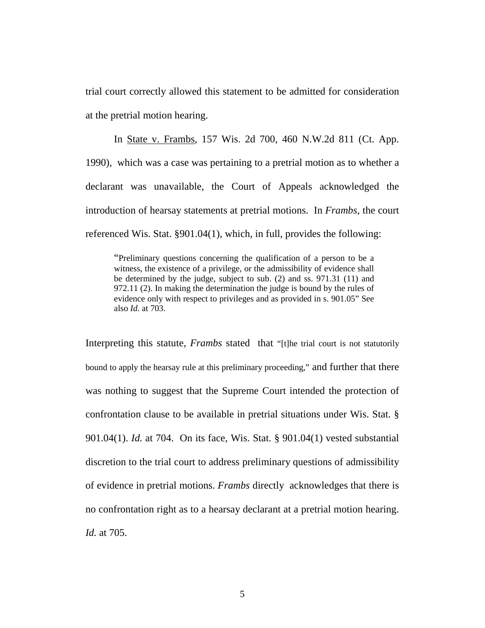trial court correctly allowed this statement to be admitted for consideration at the pretrial motion hearing.

In State v. Frambs, 157 Wis. 2d 700, 460 N.W.2d 811 (Ct. App. 1990), which was a case was pertaining to a pretrial motion as to whether a declarant was unavailable, the Court of Appeals acknowledged the introduction of hearsay statements at pretrial motions. In *Frambs,* the court referenced Wis. Stat. §901.04(1), which, in full, provides the following:

"Preliminary questions concerning the qualification of a person to be a witness, the existence of a privilege, or the admissibility of evidence shall be determined by the judge, subject to sub. (2) and ss. 971.31 (11) and 972.11 (2). In making the determination the judge is bound by the rules of evidence only with respect to privileges and as provided in s. 901.05" See also *Id.* at 703.

Interpreting this statute, *Frambs* stated that "[t]he trial court is not statutorily bound to apply the hearsay rule at this preliminary proceeding," and further that there was nothing to suggest that the Supreme Court intended the protection of confrontation clause to be available in pretrial situations under Wis. Stat. § 901.04(1). *Id.* at 704. On its face, Wis. Stat. § 901.04(1) vested substantial discretion to the trial court to address preliminary questions of admissibility of evidence in pretrial motions. *Frambs* directly acknowledges that there is no confrontation right as to a hearsay declarant at a pretrial motion hearing. *Id.* at 705.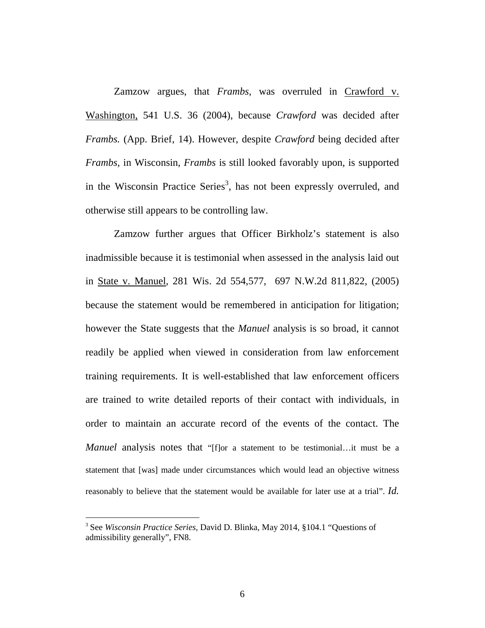Zamzow argues, that *Frambs,* was overruled in Crawford v. Washington, 541 U.S. 36 (2004), because *Crawford* was decided after *Frambs.* (App. Brief, 14). However, despite *Crawford* being decided after *Frambs,* in Wisconsin, *Frambs* is still looked favorably upon, is supported in the Wisconsin Practice Series<sup>3</sup>, has not been expressly overruled, and otherwise still appears to be controlling law.

Zamzow further argues that Officer Birkholz's statement is also inadmissible because it is testimonial when assessed in the analysis laid out in State v. Manuel, 281 Wis. 2d 554,577, 697 N.W.2d 811,822, (2005) because the statement would be remembered in anticipation for litigation; however the State suggests that the *Manuel* analysis is so broad, it cannot readily be applied when viewed in consideration from law enforcement training requirements. It is well-established that law enforcement officers are trained to write detailed reports of their contact with individuals, in order to maintain an accurate record of the events of the contact. The *Manuel* analysis notes that "[f]or a statement to be testimonial...it must be a statement that [was] made under circumstances which would lead an objective witness reasonably to believe that the statement would be available for later use at a trial". *Id.*

<sup>3</sup> See *Wisconsin Practice Series,* David D. Blinka, May 2014*,* §104.1 "Questions of admissibility generally", FN8.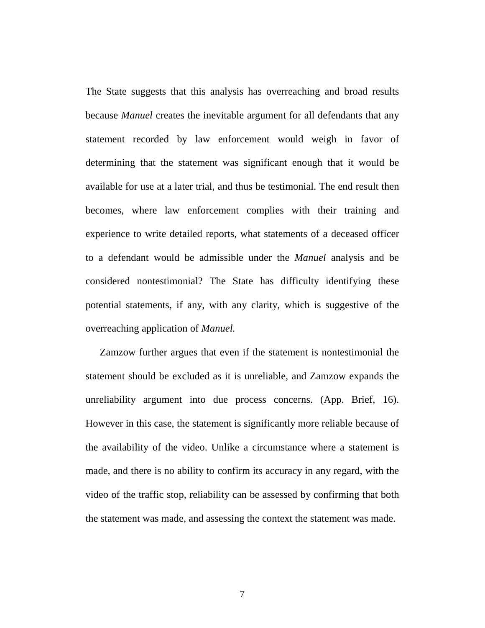The State suggests that this analysis has overreaching and broad results because *Manuel* creates the inevitable argument for all defendants that any statement recorded by law enforcement would weigh in favor of determining that the statement was significant enough that it would be available for use at a later trial, and thus be testimonial. The end result then becomes, where law enforcement complies with their training and experience to write detailed reports, what statements of a deceased officer to a defendant would be admissible under the *Manuel* analysis and be considered nontestimonial? The State has difficulty identifying these potential statements, if any, with any clarity, which is suggestive of the overreaching application of *Manuel.* 

Zamzow further argues that even if the statement is nontestimonial the statement should be excluded as it is unreliable, and Zamzow expands the unreliability argument into due process concerns. (App. Brief, 16). However in this case, the statement is significantly more reliable because of the availability of the video. Unlike a circumstance where a statement is made, and there is no ability to confirm its accuracy in any regard, with the video of the traffic stop, reliability can be assessed by confirming that both the statement was made, and assessing the context the statement was made.

7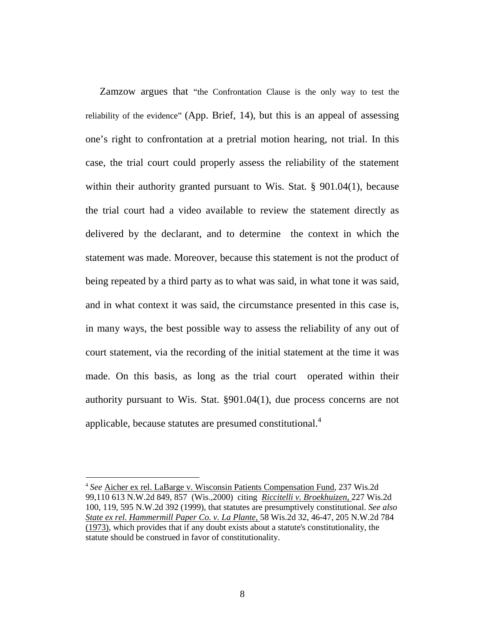Zamzow argues that "the Confrontation Clause is the only way to test the reliability of the evidence" (App. Brief, 14), but this is an appeal of assessing one's right to confrontation at a pretrial motion hearing, not trial. In this case, the trial court could properly assess the reliability of the statement within their authority granted pursuant to Wis. Stat. § 901.04(1), because the trial court had a video available to review the statement directly as delivered by the declarant, and to determine the context in which the statement was made. Moreover, because this statement is not the product of being repeated by a third party as to what was said, in what tone it was said, and in what context it was said, the circumstance presented in this case is, in many ways, the best possible way to assess the reliability of any out of court statement, via the recording of the initial statement at the time it was made. On this basis, as long as the trial court operated within their authority pursuant to Wis. Stat. §901.04(1), due process concerns are not applicable, because statutes are presumed constitutional.<sup>4</sup>

<sup>4</sup> *See* Aicher ex rel. LaBarge v. Wisconsin Patients Compensation Fund, 237 Wis.2d 99,110 613 N.W.2d 849, 857 (Wis.,2000) citing *Riccitelli v. Broekhuizen,* 227 Wis.2d 100, 119, 595 N.W.2d 392 (1999), that statutes are presumptively constitutional. *See also State ex rel. Hammermill Paper Co. v. La Plante,* 58 Wis.2d 32, 46-47, 205 N.W.2d 784 (1973), which provides that if any doubt exists about a statute's constitutionality, the statute should be construed in favor of constitutionality.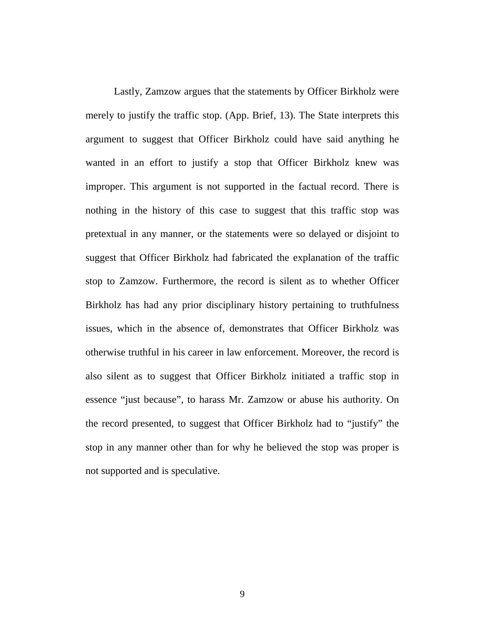Lastly, Zamzow argues that the statements by Officer Birkholz were merely to justify the traffic stop. (App. Brief, 13). The State interprets this argument to suggest that Officer Birkholz could have said anything he wanted in an effort to justify a stop that Officer Birkholz knew was improper. This argument is not supported in the factual record. There is nothing in the history of this case to suggest that this traffic stop was pretextual in any manner, or the statements were so delayed or disjoint to suggest that Officer Birkholz had fabricated the explanation of the traffic stop to Zamzow. Furthermore, the record is silent as to whether Officer Birkholz has had any prior disciplinary history pertaining to truthfulness issues, which in the absence of, demonstrates that Officer Birkholz was otherwise truthful in his career in law enforcement. Moreover, the record is also silent as to suggest that Officer Birkholz initiated a traffic stop in essence "just because", to harass Mr. Zamzow or abuse his authority. On the record presented, to suggest that Officer Birkholz had to "justify" the stop in any manner other than for why he believed the stop was proper is not supported and is speculative.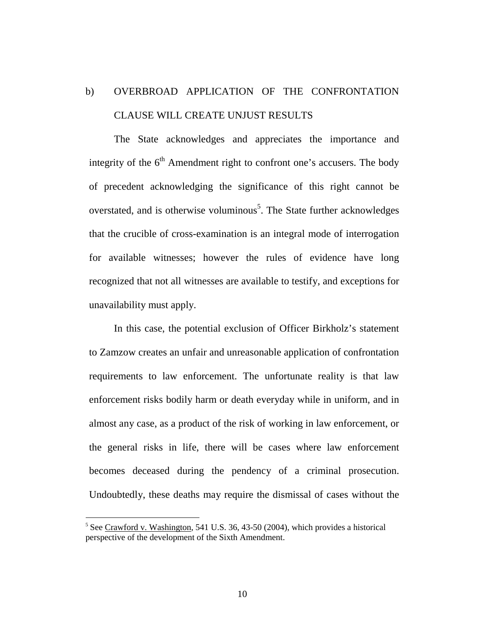## b) OVERBROAD APPLICATION OF THE CONFRONTATION CLAUSE WILL CREATE UNJUST RESULTS

The State acknowledges and appreciates the importance and integrity of the  $6<sup>th</sup>$  Amendment right to confront one's accusers. The body of precedent acknowledging the significance of this right cannot be overstated, and is otherwise voluminous<sup>5</sup>. The State further acknowledges that the crucible of cross-examination is an integral mode of interrogation for available witnesses; however the rules of evidence have long recognized that not all witnesses are available to testify, and exceptions for unavailability must apply.

In this case, the potential exclusion of Officer Birkholz's statement to Zamzow creates an unfair and unreasonable application of confrontation requirements to law enforcement. The unfortunate reality is that law enforcement risks bodily harm or death everyday while in uniform, and in almost any case, as a product of the risk of working in law enforcement, or the general risks in life, there will be cases where law enforcement becomes deceased during the pendency of a criminal prosecution. Undoubtedly, these deaths may require the dismissal of cases without the

 $5$  See Crawford v. Washington, 541 U.S. 36, 43-50 (2004), which provides a historical perspective of the development of the Sixth Amendment.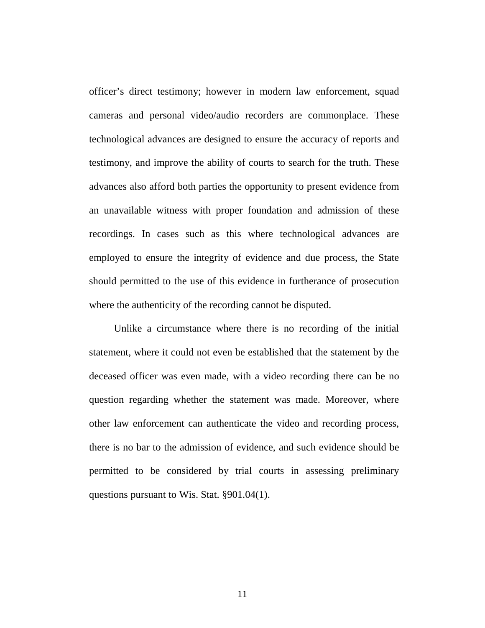officer's direct testimony; however in modern law enforcement, squad cameras and personal video/audio recorders are commonplace. These technological advances are designed to ensure the accuracy of reports and testimony, and improve the ability of courts to search for the truth. These advances also afford both parties the opportunity to present evidence from an unavailable witness with proper foundation and admission of these recordings. In cases such as this where technological advances are employed to ensure the integrity of evidence and due process, the State should permitted to the use of this evidence in furtherance of prosecution where the authenticity of the recording cannot be disputed.

Unlike a circumstance where there is no recording of the initial statement, where it could not even be established that the statement by the deceased officer was even made, with a video recording there can be no question regarding whether the statement was made. Moreover, where other law enforcement can authenticate the video and recording process, there is no bar to the admission of evidence, and such evidence should be permitted to be considered by trial courts in assessing preliminary questions pursuant to Wis. Stat. §901.04(1).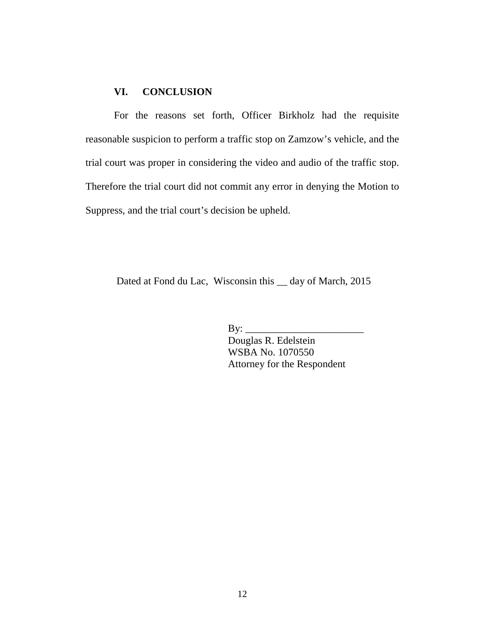#### **VI. CONCLUSION**

For the reasons set forth, Officer Birkholz had the requisite reasonable suspicion to perform a traffic stop on Zamzow's vehicle, and the trial court was proper in considering the video and audio of the traffic stop. Therefore the trial court did not commit any error in denying the Motion to Suppress, and the trial court's decision be upheld.

Dated at Fond du Lac, Wisconsin this \_\_ day of March, 2015

 $\mathbf{By:} \_\_$ 

Douglas R. Edelstein WSBA No. 1070550 Attorney for the Respondent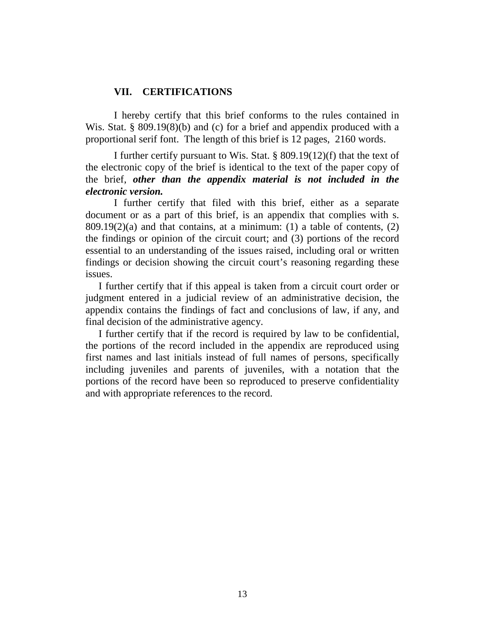#### **VII. CERTIFICATIONS**

 I hereby certify that this brief conforms to the rules contained in Wis. Stat. § 809.19(8)(b) and (c) for a brief and appendix produced with a proportional serif font. The length of this brief is 12 pages, 2160 words.

I further certify pursuant to Wis. Stat. § 809.19(12)(f) that the text of the electronic copy of the brief is identical to the text of the paper copy of the brief, *other than the appendix material is not included in the electronic version.* 

I further certify that filed with this brief, either as a separate document or as a part of this brief, is an appendix that complies with s.  $809.19(2)$ (a) and that contains, at a minimum: (1) a table of contents, (2) the findings or opinion of the circuit court; and (3) portions of the record essential to an understanding of the issues raised, including oral or written findings or decision showing the circuit court's reasoning regarding these issues.

I further certify that if this appeal is taken from a circuit court order or judgment entered in a judicial review of an administrative decision, the appendix contains the findings of fact and conclusions of law, if any, and final decision of the administrative agency.

I further certify that if the record is required by law to be confidential, the portions of the record included in the appendix are reproduced using first names and last initials instead of full names of persons, specifically including juveniles and parents of juveniles, with a notation that the portions of the record have been so reproduced to preserve confidentiality and with appropriate references to the record.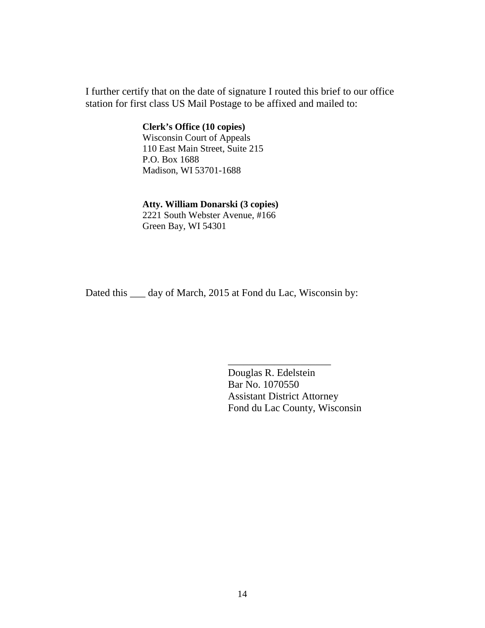I further certify that on the date of signature I routed this brief to our office station for first class US Mail Postage to be affixed and mailed to:

> **Clerk's Office (10 copies)**  Wisconsin Court of Appeals 110 East Main Street, Suite 215 P.O. Box 1688 Madison, WI 53701-1688

#### **Atty. William Donarski (3 copies)**

 2221 South Webster Avenue, #166 Green Bay, WI 54301

Dated this \_\_\_ day of March, 2015 at Fond du Lac, Wisconsin by:

 $\frac{1}{\sqrt{2}}$  ,  $\frac{1}{\sqrt{2}}$  ,  $\frac{1}{\sqrt{2}}$  ,  $\frac{1}{\sqrt{2}}$  ,  $\frac{1}{\sqrt{2}}$  ,  $\frac{1}{\sqrt{2}}$  ,  $\frac{1}{\sqrt{2}}$  ,  $\frac{1}{\sqrt{2}}$  ,  $\frac{1}{\sqrt{2}}$  ,  $\frac{1}{\sqrt{2}}$  ,  $\frac{1}{\sqrt{2}}$  ,  $\frac{1}{\sqrt{2}}$  ,  $\frac{1}{\sqrt{2}}$  ,  $\frac{1}{\sqrt{2}}$  ,  $\frac{1}{\sqrt{2}}$ 

 Douglas R. Edelstein Bar No. 1070550 Assistant District Attorney Fond du Lac County, Wisconsin